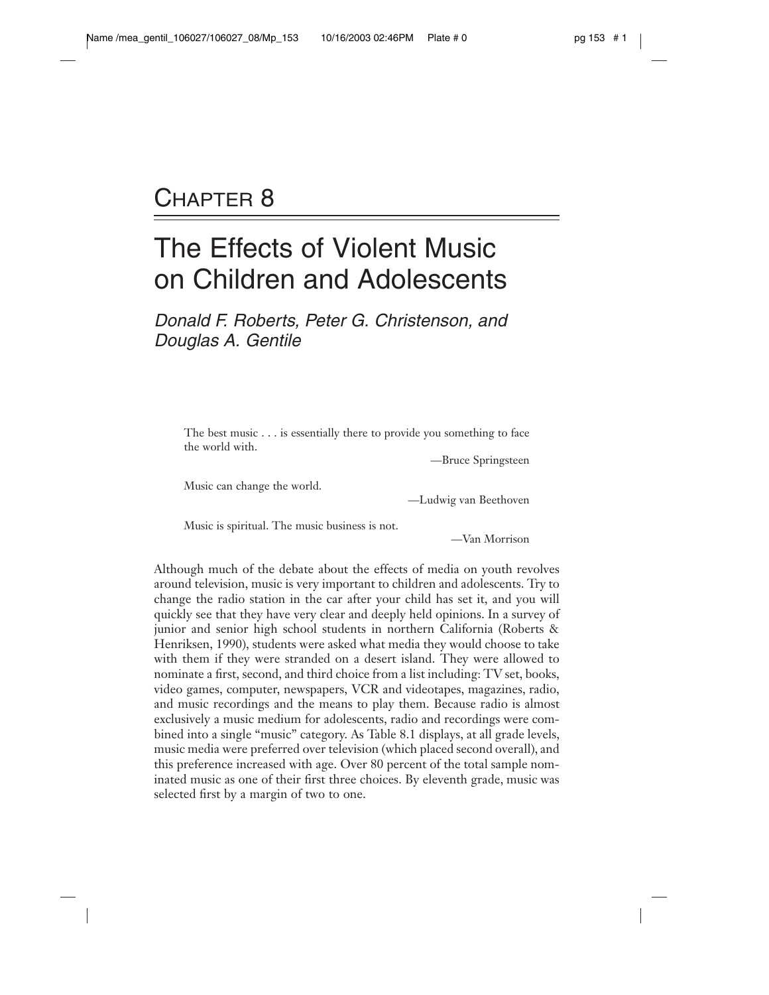# CHAPTER 8

# The Effects of Violent Music on Children and Adolescents

*Donald F. Roberts, Peter G. Christenson, and Douglas A. Gentile*

The best music . . . is essentially there to provide you something to face the world with.

—Bruce Springsteen

Music can change the world.

—Ludwig van Beethoven

Music is spiritual. The music business is not.

—Van Morrison

Although much of the debate about the effects of media on youth revolves around television, music is very important to children and adolescents. Try to change the radio station in the car after your child has set it, and you will quickly see that they have very clear and deeply held opinions. In a survey of junior and senior high school students in northern California (Roberts & Henriksen, 1990), students were asked what media they would choose to take with them if they were stranded on a desert island. They were allowed to nominate a first, second, and third choice from a list including: TV set, books, video games, computer, newspapers, VCR and videotapes, magazines, radio, and music recordings and the means to play them. Because radio is almost exclusively a music medium for adolescents, radio and recordings were combined into a single "music" category. As Table 8.1 displays, at all grade levels, music media were preferred over television (which placed second overall), and this preference increased with age. Over 80 percent of the total sample nominated music as one of their first three choices. By eleventh grade, music was selected first by a margin of two to one.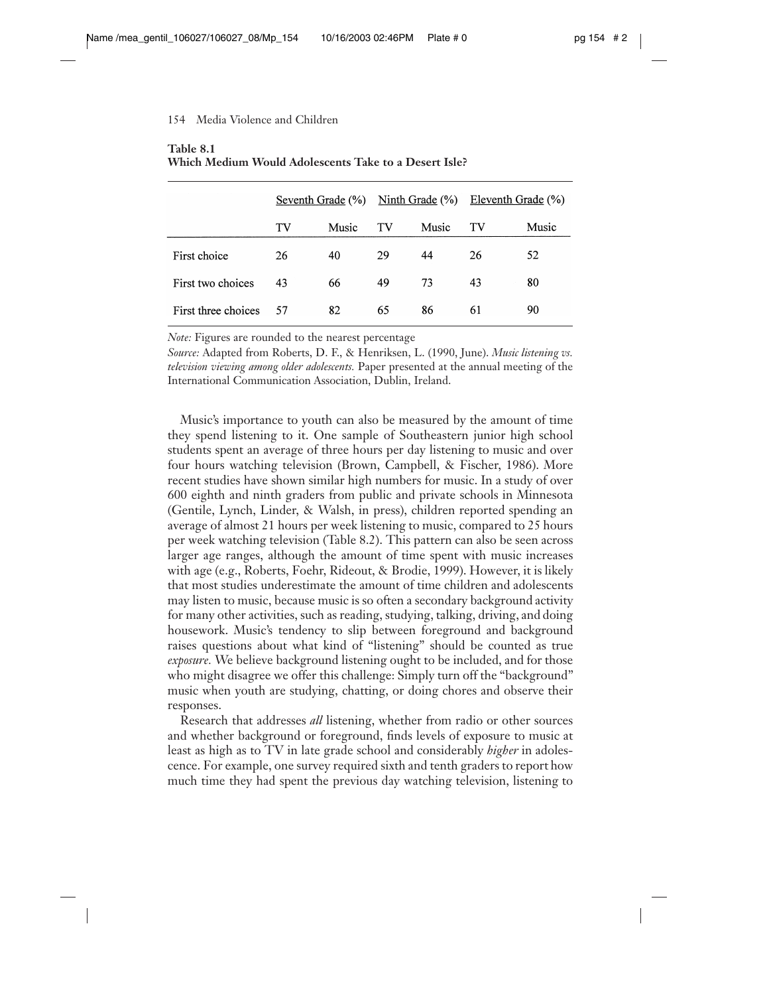# **Table 8.1**

**Which Medium Would Adolescents Take to a Desert Isle?**

|                     | Seventh Grade $(\% )$ |       | Ninth Grade $(\% )$ |       | Eleventh Grade (%) |       |
|---------------------|-----------------------|-------|---------------------|-------|--------------------|-------|
|                     | TV                    | Music | TV                  | Music | TV                 | Music |
| First choice        | 26                    | 40    | 29                  | 44    | 26                 | 52    |
| First two choices   | 43                    | 66    | 49                  | 73    | 43                 | 80    |
| First three choices | 57                    | 82    | 65                  | 86    | 61                 | 90    |

*Note:* Figures are rounded to the nearest percentage

*Source:* Adapted from Roberts, D. F., & Henriksen, L. (1990, June). *Music listening vs. television viewing among older adolescents.* Paper presented at the annual meeting of the International Communication Association, Dublin, Ireland.

Music's importance to youth can also be measured by the amount of time they spend listening to it. One sample of Southeastern junior high school students spent an average of three hours per day listening to music and over four hours watching television (Brown, Campbell, & Fischer, 1986). More recent studies have shown similar high numbers for music. In a study of over 600 eighth and ninth graders from public and private schools in Minnesota (Gentile, Lynch, Linder, & Walsh, in press), children reported spending an average of almost 21 hours per week listening to music, compared to 25 hours per week watching television (Table 8.2). This pattern can also be seen across larger age ranges, although the amount of time spent with music increases with age (e.g., Roberts, Foehr, Rideout, & Brodie, 1999). However, it is likely that most studies underestimate the amount of time children and adolescents may listen to music, because music is so often a secondary background activity for many other activities, such as reading, studying, talking, driving, and doing housework. Music's tendency to slip between foreground and background raises questions about what kind of "listening" should be counted as true *exposure.* We believe background listening ought to be included, and for those who might disagree we offer this challenge: Simply turn off the "background" music when youth are studying, chatting, or doing chores and observe their responses.

Research that addresses *all* listening, whether from radio or other sources and whether background or foreground, finds levels of exposure to music at least as high as to TV in late grade school and considerably *higher* in adolescence. For example, one survey required sixth and tenth graders to report how much time they had spent the previous day watching television, listening to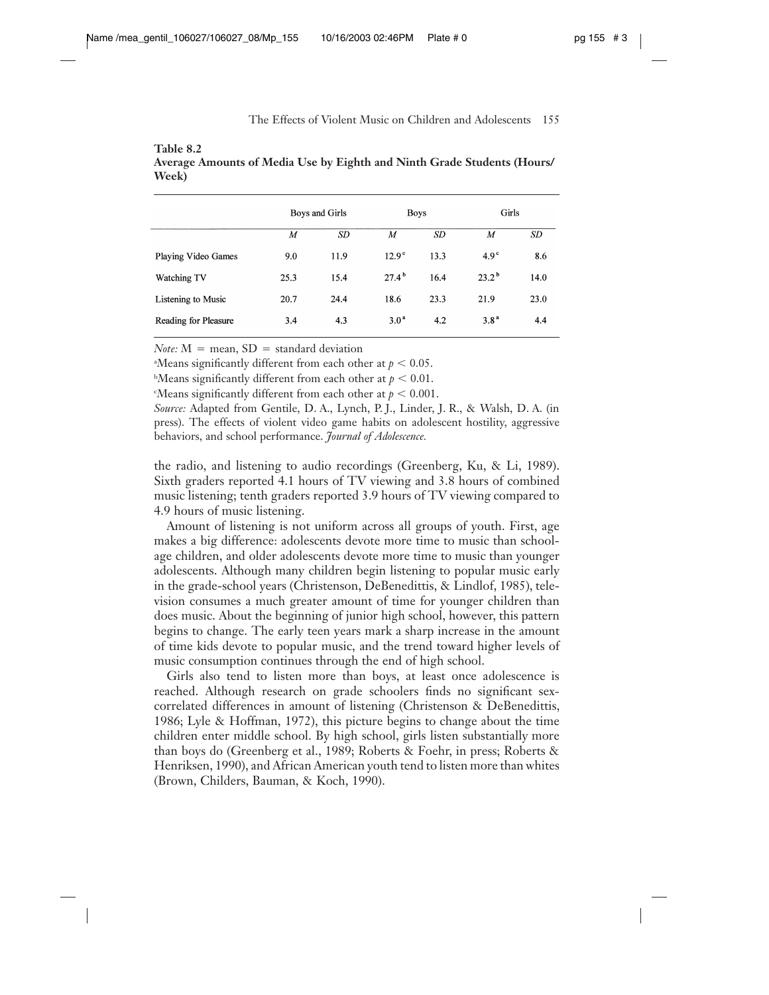**Table 8.2 Average Amounts of Media Use by Eighth and Ninth Grade Students (Hours/ Week)**

|                      | Boys and Girls   |      | <b>Boys</b>       |           | Girls               |      |
|----------------------|------------------|------|-------------------|-----------|---------------------|------|
|                      | $\boldsymbol{M}$ | SD   | M                 | <b>SD</b> | M                   | SD   |
| Playing Video Games  | 9.0              | 11.9 | 12.9 <sup>c</sup> | 13.3      | 4.9 <sup>c</sup>    | 8.6  |
| Watching TV          | 25.3             | 15.4 | $27.4^{b}$        | 16.4      | $23.2^{\mathrm{b}}$ | 14.0 |
| Listening to Music   | 20.7             | 24.4 | 18.6              | 23.3      | 21.9                | 23.0 |
| Reading for Pleasure | 3.4              | 4.3  | 3.0 <sup>a</sup>  | 4.2       | 3.8 <sup>a</sup>    | 4.4  |

 $$ 

 $^{\circ}$ Means significantly different from each other at  $p < 0.05$ .

<sup>b</sup>Means significantly different from each other at  $p < 0.01$ .

Means significantly different from each other at  $p < 0.001$ .

*Source:* Adapted from Gentile, D. A., Lynch, P. J., Linder, J. R., & Walsh, D. A. (in press). The effects of violent video game habits on adolescent hostility, aggressive behaviors, and school performance. *Journal of Adolescence.*

the radio, and listening to audio recordings (Greenberg, Ku, & Li, 1989). Sixth graders reported 4.1 hours of TV viewing and 3.8 hours of combined music listening; tenth graders reported 3.9 hours of TV viewing compared to 4.9 hours of music listening.

Amount of listening is not uniform across all groups of youth. First, age makes a big difference: adolescents devote more time to music than schoolage children, and older adolescents devote more time to music than younger adolescents. Although many children begin listening to popular music early in the grade-school years (Christenson, DeBenedittis, & Lindlof, 1985), television consumes a much greater amount of time for younger children than does music. About the beginning of junior high school, however, this pattern begins to change. The early teen years mark a sharp increase in the amount of time kids devote to popular music, and the trend toward higher levels of music consumption continues through the end of high school.

Girls also tend to listen more than boys, at least once adolescence is reached. Although research on grade schoolers finds no significant sexcorrelated differences in amount of listening (Christenson & DeBenedittis, 1986; Lyle & Hoffman, 1972), this picture begins to change about the time children enter middle school. By high school, girls listen substantially more than boys do (Greenberg et al., 1989; Roberts & Foehr, in press; Roberts & Henriksen, 1990), and African American youth tend to listen more than whites (Brown, Childers, Bauman, & Koch, 1990).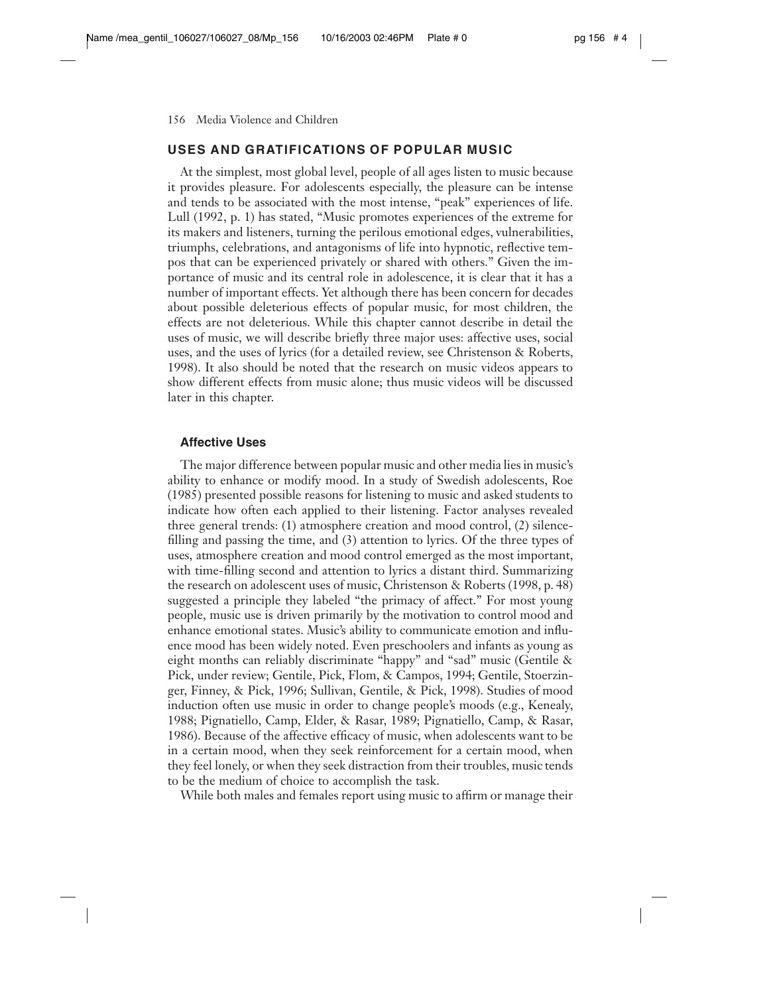# **USES AND GRATIFICATIONS OF POPULAR MUSIC**

At the simplest, most global level, people of all ages listen to music because it provides pleasure. For adolescents especially, the pleasure can be intense and tends to be associated with the most intense, "peak" experiences of life. Lull (1992, p. 1) has stated, "Music promotes experiences of the extreme for its makers and listeners, turning the perilous emotional edges, vulnerabilities, triumphs, celebrations, and antagonisms of life into hypnotic, reflective tempos that can be experienced privately or shared with others." Given the importance of music and its central role in adolescence, it is clear that it has a number of important effects. Yet although there has been concern for decades about possible deleterious effects of popular music, for most children, the effects are not deleterious. While this chapter cannot describe in detail the uses of music, we will describe briefly three major uses: affective uses, social uses, and the uses of lyrics (for a detailed review, see Christenson & Roberts, 1998). It also should be noted that the research on music videos appears to show different effects from music alone; thus music videos will be discussed later in this chapter.

# **Affective Uses**

The major difference between popular music and other media lies in music's ability to enhance or modify mood. In a study of Swedish adolescents, Roe (1985) presented possible reasons for listening to music and asked students to indicate how often each applied to their listening. Factor analyses revealed three general trends: (1) atmosphere creation and mood control, (2) silencefilling and passing the time, and (3) attention to lyrics. Of the three types of uses, atmosphere creation and mood control emerged as the most important, with time-filling second and attention to lyrics a distant third. Summarizing the research on adolescent uses of music, Christenson & Roberts (1998, p. 48) suggested a principle they labeled "the primacy of affect." For most young people, music use is driven primarily by the motivation to control mood and enhance emotional states. Music's ability to communicate emotion and influence mood has been widely noted. Even preschoolers and infants as young as eight months can reliably discriminate "happy" and "sad" music (Gentile & Pick, under review; Gentile, Pick, Flom, & Campos, 1994; Gentile, Stoerzinger, Finney, & Pick, 1996; Sullivan, Gentile, & Pick, 1998). Studies of mood induction often use music in order to change people's moods (e.g., Kenealy, 1988; Pignatiello, Camp, Elder, & Rasar, 1989; Pignatiello, Camp, & Rasar, 1986). Because of the affective efficacy of music, when adolescents want to be in a certain mood, when they seek reinforcement for a certain mood, when they feel lonely, or when they seek distraction from their troubles, music tends to be the medium of choice to accomplish the task.

While both males and females report using music to affirm or manage their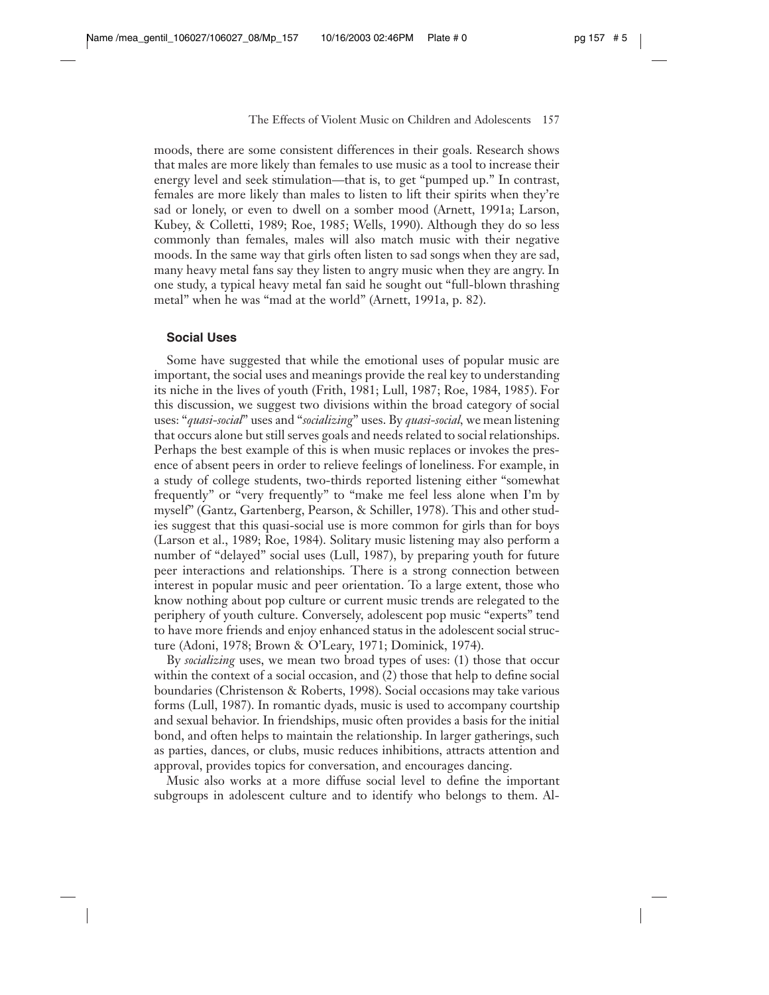moods, there are some consistent differences in their goals. Research shows that males are more likely than females to use music as a tool to increase their energy level and seek stimulation—that is, to get "pumped up." In contrast, females are more likely than males to listen to lift their spirits when they're sad or lonely, or even to dwell on a somber mood (Arnett, 1991a; Larson, Kubey, & Colletti, 1989; Roe, 1985; Wells, 1990). Although they do so less commonly than females, males will also match music with their negative moods. In the same way that girls often listen to sad songs when they are sad, many heavy metal fans say they listen to angry music when they are angry. In one study, a typical heavy metal fan said he sought out "full-blown thrashing metal" when he was "mad at the world" (Arnett, 1991a, p. 82).

#### **Social Uses**

Some have suggested that while the emotional uses of popular music are important, the social uses and meanings provide the real key to understanding its niche in the lives of youth (Frith, 1981; Lull, 1987; Roe, 1984, 1985). For this discussion, we suggest two divisions within the broad category of social uses: "*quasi-social*" uses and "*socializing*" uses. By *quasi-social,* we mean listening that occurs alone but still serves goals and needs related to social relationships. Perhaps the best example of this is when music replaces or invokes the presence of absent peers in order to relieve feelings of loneliness. For example, in a study of college students, two-thirds reported listening either "somewhat frequently" or "very frequently" to "make me feel less alone when I'm by myself" (Gantz, Gartenberg, Pearson, & Schiller, 1978). This and other studies suggest that this quasi-social use is more common for girls than for boys (Larson et al., 1989; Roe, 1984). Solitary music listening may also perform a number of "delayed" social uses (Lull, 1987), by preparing youth for future peer interactions and relationships. There is a strong connection between interest in popular music and peer orientation. To a large extent, those who know nothing about pop culture or current music trends are relegated to the periphery of youth culture. Conversely, adolescent pop music "experts" tend to have more friends and enjoy enhanced status in the adolescent social structure (Adoni, 1978; Brown & O'Leary, 1971; Dominick, 1974).

By *socializing* uses, we mean two broad types of uses: (1) those that occur within the context of a social occasion, and (2) those that help to define social boundaries (Christenson & Roberts, 1998). Social occasions may take various forms (Lull, 1987). In romantic dyads, music is used to accompany courtship and sexual behavior. In friendships, music often provides a basis for the initial bond, and often helps to maintain the relationship. In larger gatherings, such as parties, dances, or clubs, music reduces inhibitions, attracts attention and approval, provides topics for conversation, and encourages dancing.

Music also works at a more diffuse social level to define the important subgroups in adolescent culture and to identify who belongs to them. Al-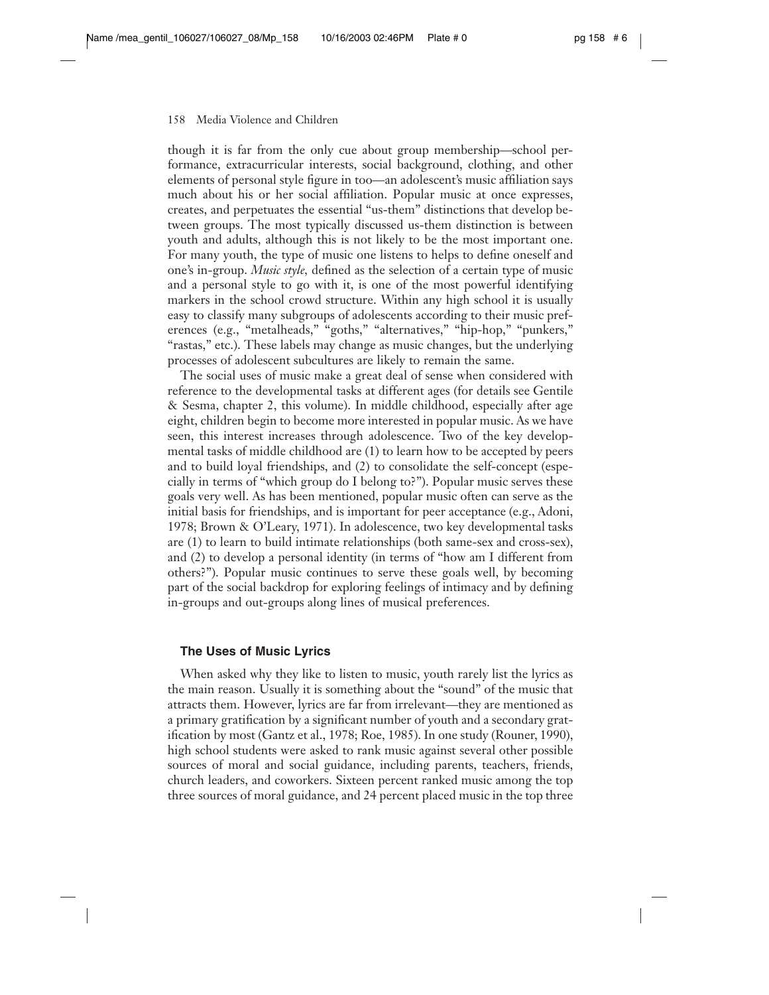though it is far from the only cue about group membership—school performance, extracurricular interests, social background, clothing, and other elements of personal style figure in too—an adolescent's music affiliation says much about his or her social affiliation. Popular music at once expresses, creates, and perpetuates the essential "us-them" distinctions that develop between groups. The most typically discussed us-them distinction is between youth and adults, although this is not likely to be the most important one. For many youth, the type of music one listens to helps to define oneself and one's in-group. *Music style,* defined as the selection of a certain type of music and a personal style to go with it, is one of the most powerful identifying markers in the school crowd structure. Within any high school it is usually easy to classify many subgroups of adolescents according to their music preferences (e.g., "metalheads," "goths," "alternatives," "hip-hop," "punkers," "rastas," etc.). These labels may change as music changes, but the underlying processes of adolescent subcultures are likely to remain the same.

The social uses of music make a great deal of sense when considered with reference to the developmental tasks at different ages (for details see Gentile & Sesma, chapter 2, this volume). In middle childhood, especially after age eight, children begin to become more interested in popular music. As we have seen, this interest increases through adolescence. Two of the key developmental tasks of middle childhood are (1) to learn how to be accepted by peers and to build loyal friendships, and (2) to consolidate the self-concept (especially in terms of "which group do I belong to?"). Popular music serves these goals very well. As has been mentioned, popular music often can serve as the initial basis for friendships, and is important for peer acceptance (e.g., Adoni, 1978; Brown & O'Leary, 1971). In adolescence, two key developmental tasks are (1) to learn to build intimate relationships (both same-sex and cross-sex), and (2) to develop a personal identity (in terms of "how am I different from others?"). Popular music continues to serve these goals well, by becoming part of the social backdrop for exploring feelings of intimacy and by defining in-groups and out-groups along lines of musical preferences.

#### **The Uses of Music Lyrics**

When asked why they like to listen to music, youth rarely list the lyrics as the main reason. Usually it is something about the "sound" of the music that attracts them. However, lyrics are far from irrelevant—they are mentioned as a primary gratification by a significant number of youth and a secondary gratification by most (Gantz et al., 1978; Roe, 1985). In one study (Rouner, 1990), high school students were asked to rank music against several other possible sources of moral and social guidance, including parents, teachers, friends, church leaders, and coworkers. Sixteen percent ranked music among the top three sources of moral guidance, and 24 percent placed music in the top three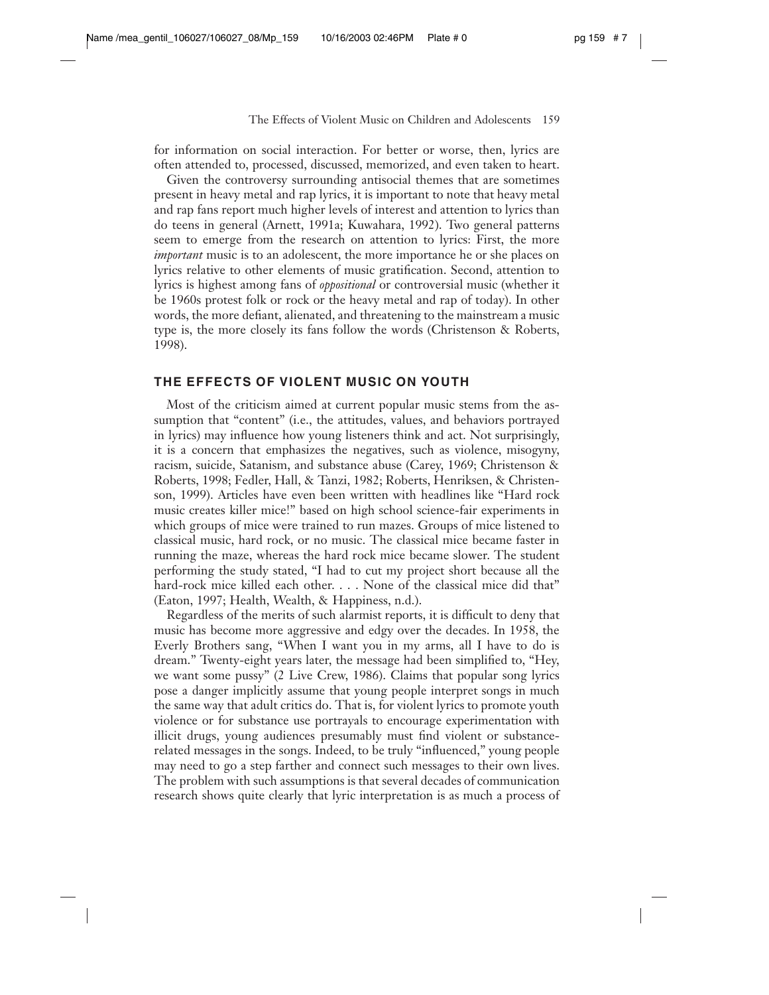for information on social interaction. For better or worse, then, lyrics are often attended to, processed, discussed, memorized, and even taken to heart.

Given the controversy surrounding antisocial themes that are sometimes present in heavy metal and rap lyrics, it is important to note that heavy metal and rap fans report much higher levels of interest and attention to lyrics than do teens in general (Arnett, 1991a; Kuwahara, 1992). Two general patterns seem to emerge from the research on attention to lyrics: First, the more *important* music is to an adolescent, the more importance he or she places on lyrics relative to other elements of music gratification. Second, attention to lyrics is highest among fans of *oppositional* or controversial music (whether it be 1960s protest folk or rock or the heavy metal and rap of today). In other words, the more defiant, alienated, and threatening to the mainstream a music type is, the more closely its fans follow the words (Christenson & Roberts, 1998).

# **THE EFFECTS OF VIOLENT MUSIC ON YOUTH**

Most of the criticism aimed at current popular music stems from the assumption that "content" (i.e., the attitudes, values, and behaviors portrayed in lyrics) may influence how young listeners think and act. Not surprisingly, it is a concern that emphasizes the negatives, such as violence, misogyny, racism, suicide, Satanism, and substance abuse (Carey, 1969; Christenson & Roberts, 1998; Fedler, Hall, & Tanzi, 1982; Roberts, Henriksen, & Christenson, 1999). Articles have even been written with headlines like "Hard rock music creates killer mice!" based on high school science-fair experiments in which groups of mice were trained to run mazes. Groups of mice listened to classical music, hard rock, or no music. The classical mice became faster in running the maze, whereas the hard rock mice became slower. The student performing the study stated, "I had to cut my project short because all the hard-rock mice killed each other. . . . None of the classical mice did that" (Eaton, 1997; Health, Wealth, & Happiness, n.d.).

Regardless of the merits of such alarmist reports, it is difficult to deny that music has become more aggressive and edgy over the decades. In 1958, the Everly Brothers sang, "When I want you in my arms, all I have to do is dream." Twenty-eight years later, the message had been simplified to, "Hey, we want some pussy" (2 Live Crew, 1986). Claims that popular song lyrics pose a danger implicitly assume that young people interpret songs in much the same way that adult critics do. That is, for violent lyrics to promote youth violence or for substance use portrayals to encourage experimentation with illicit drugs, young audiences presumably must find violent or substancerelated messages in the songs. Indeed, to be truly "influenced," young people may need to go a step farther and connect such messages to their own lives. The problem with such assumptions is that several decades of communication research shows quite clearly that lyric interpretation is as much a process of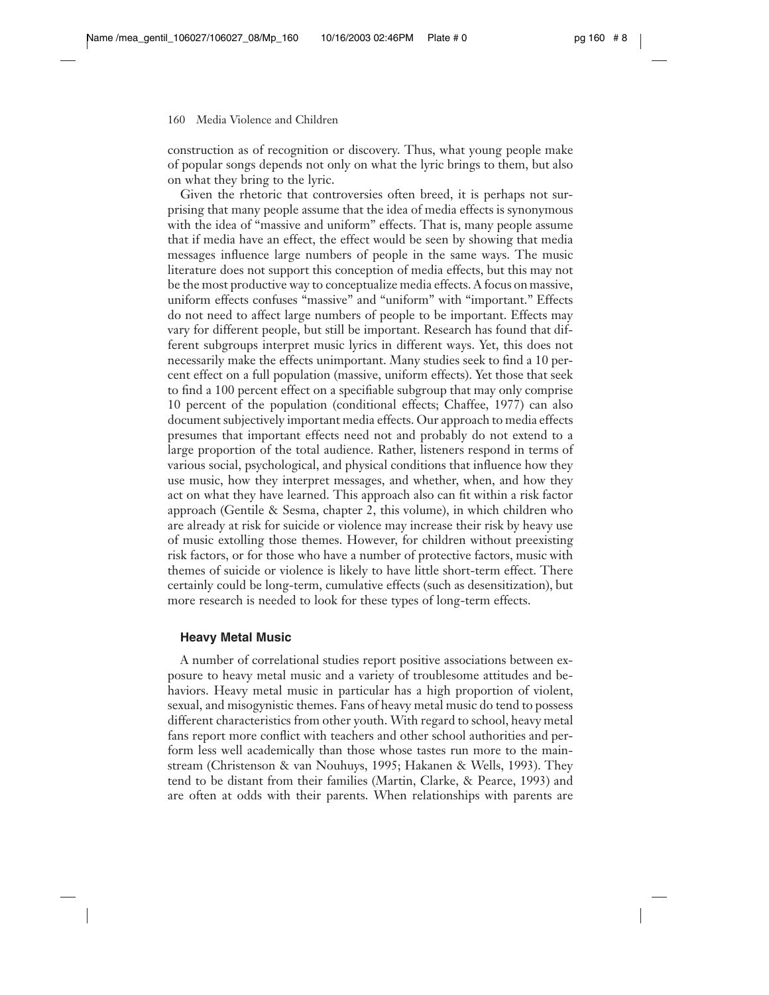construction as of recognition or discovery. Thus, what young people make of popular songs depends not only on what the lyric brings to them, but also on what they bring to the lyric.

Given the rhetoric that controversies often breed, it is perhaps not surprising that many people assume that the idea of media effects is synonymous with the idea of "massive and uniform" effects. That is, many people assume that if media have an effect, the effect would be seen by showing that media messages influence large numbers of people in the same ways. The music literature does not support this conception of media effects, but this may not be the most productive way to conceptualize media effects. A focus on massive, uniform effects confuses "massive" and "uniform" with "important." Effects do not need to affect large numbers of people to be important. Effects may vary for different people, but still be important. Research has found that different subgroups interpret music lyrics in different ways. Yet, this does not necessarily make the effects unimportant. Many studies seek to find a 10 percent effect on a full population (massive, uniform effects). Yet those that seek to find a 100 percent effect on a specifiable subgroup that may only comprise 10 percent of the population (conditional effects; Chaffee, 1977) can also document subjectively important media effects. Our approach to media effects presumes that important effects need not and probably do not extend to a large proportion of the total audience. Rather, listeners respond in terms of various social, psychological, and physical conditions that influence how they use music, how they interpret messages, and whether, when, and how they act on what they have learned. This approach also can fit within a risk factor approach (Gentile & Sesma, chapter 2, this volume), in which children who are already at risk for suicide or violence may increase their risk by heavy use of music extolling those themes. However, for children without preexisting risk factors, or for those who have a number of protective factors, music with themes of suicide or violence is likely to have little short-term effect. There certainly could be long-term, cumulative effects (such as desensitization), but more research is needed to look for these types of long-term effects.

# **Heavy Metal Music**

A number of correlational studies report positive associations between exposure to heavy metal music and a variety of troublesome attitudes and behaviors. Heavy metal music in particular has a high proportion of violent, sexual, and misogynistic themes. Fans of heavy metal music do tend to possess different characteristics from other youth. With regard to school, heavy metal fans report more conflict with teachers and other school authorities and perform less well academically than those whose tastes run more to the mainstream (Christenson & van Nouhuys, 1995; Hakanen & Wells, 1993). They tend to be distant from their families (Martin, Clarke, & Pearce, 1993) and are often at odds with their parents. When relationships with parents are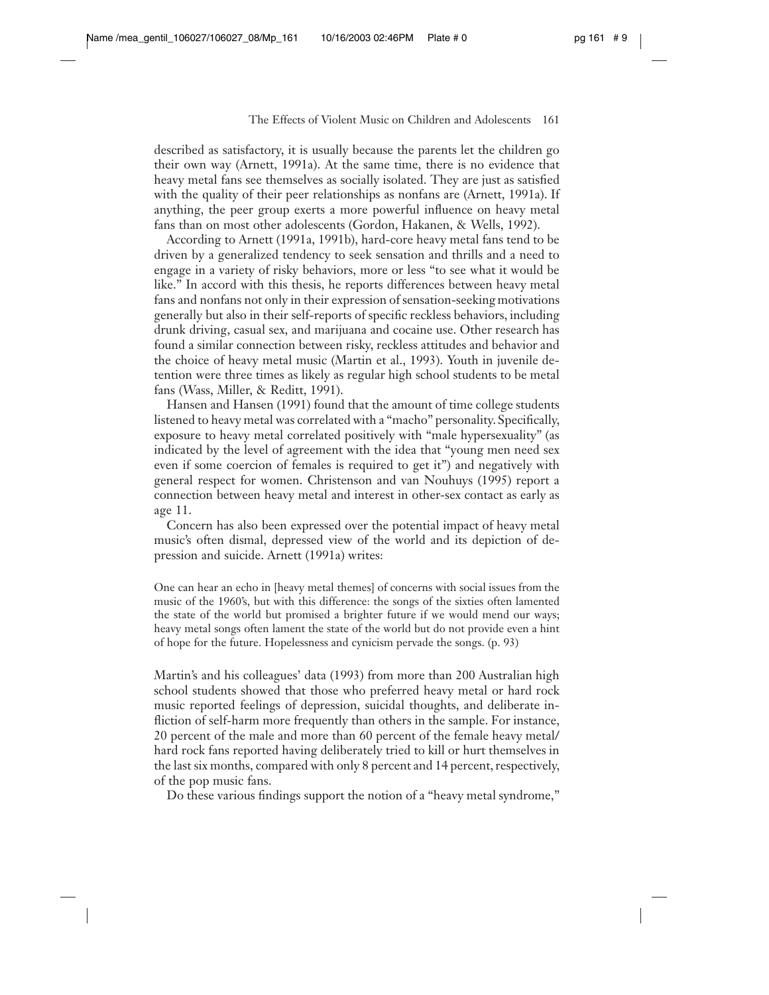described as satisfactory, it is usually because the parents let the children go their own way (Arnett, 1991a). At the same time, there is no evidence that heavy metal fans see themselves as socially isolated. They are just as satisfied with the quality of their peer relationships as nonfans are (Arnett, 1991a). If anything, the peer group exerts a more powerful influence on heavy metal fans than on most other adolescents (Gordon, Hakanen, & Wells, 1992).

According to Arnett (1991a, 1991b), hard-core heavy metal fans tend to be driven by a generalized tendency to seek sensation and thrills and a need to engage in a variety of risky behaviors, more or less "to see what it would be like." In accord with this thesis, he reports differences between heavy metal fans and nonfans not only in their expression of sensation-seeking motivations generally but also in their self-reports of specific reckless behaviors, including drunk driving, casual sex, and marijuana and cocaine use. Other research has found a similar connection between risky, reckless attitudes and behavior and the choice of heavy metal music (Martin et al., 1993). Youth in juvenile detention were three times as likely as regular high school students to be metal fans (Wass, Miller, & Reditt, 1991).

Hansen and Hansen (1991) found that the amount of time college students listened to heavy metal was correlated with a "macho" personality. Specifically, exposure to heavy metal correlated positively with "male hypersexuality" (as indicated by the level of agreement with the idea that "young men need sex even if some coercion of females is required to get it") and negatively with general respect for women. Christenson and van Nouhuys (1995) report a connection between heavy metal and interest in other-sex contact as early as age 11.

Concern has also been expressed over the potential impact of heavy metal music's often dismal, depressed view of the world and its depiction of depression and suicide. Arnett (1991a) writes:

One can hear an echo in [heavy metal themes] of concerns with social issues from the music of the 1960's, but with this difference: the songs of the sixties often lamented the state of the world but promised a brighter future if we would mend our ways; heavy metal songs often lament the state of the world but do not provide even a hint of hope for the future. Hopelessness and cynicism pervade the songs. (p. 93)

Martin's and his colleagues' data (1993) from more than 200 Australian high school students showed that those who preferred heavy metal or hard rock music reported feelings of depression, suicidal thoughts, and deliberate infliction of self-harm more frequently than others in the sample. For instance, 20 percent of the male and more than 60 percent of the female heavy metal/ hard rock fans reported having deliberately tried to kill or hurt themselves in the last six months, compared with only 8 percent and 14 percent, respectively, of the pop music fans.

Do these various findings support the notion of a "heavy metal syndrome,"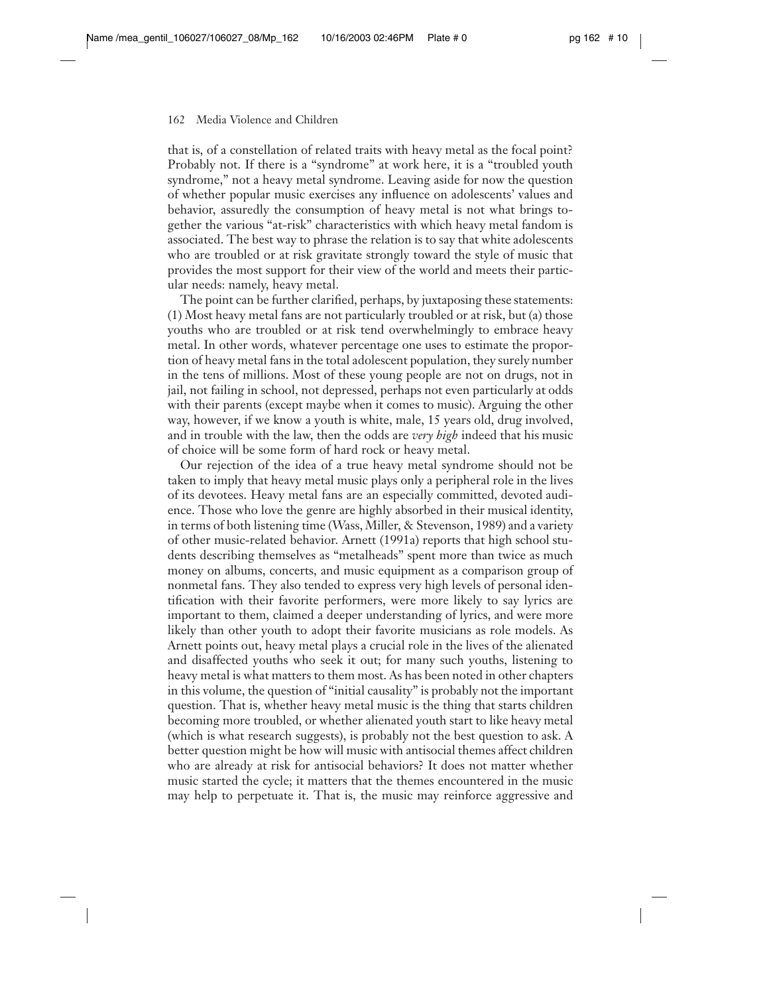that is, of a constellation of related traits with heavy metal as the focal point? Probably not. If there is a "syndrome" at work here, it is a "troubled youth syndrome," not a heavy metal syndrome. Leaving aside for now the question of whether popular music exercises any influence on adolescents' values and behavior, assuredly the consumption of heavy metal is not what brings together the various "at-risk" characteristics with which heavy metal fandom is associated. The best way to phrase the relation is to say that white adolescents who are troubled or at risk gravitate strongly toward the style of music that provides the most support for their view of the world and meets their particular needs: namely, heavy metal.

The point can be further clarified, perhaps, by juxtaposing these statements: (1) Most heavy metal fans are not particularly troubled or at risk, but (a) those youths who are troubled or at risk tend overwhelmingly to embrace heavy metal. In other words, whatever percentage one uses to estimate the proportion of heavy metal fans in the total adolescent population, they surely number in the tens of millions. Most of these young people are not on drugs, not in jail, not failing in school, not depressed, perhaps not even particularly at odds with their parents (except maybe when it comes to music). Arguing the other way, however, if we know a youth is white, male, 15 years old, drug involved, and in trouble with the law, then the odds are *very high* indeed that his music of choice will be some form of hard rock or heavy metal.

Our rejection of the idea of a true heavy metal syndrome should not be taken to imply that heavy metal music plays only a peripheral role in the lives of its devotees. Heavy metal fans are an especially committed, devoted audience. Those who love the genre are highly absorbed in their musical identity, in terms of both listening time (Wass, Miller, & Stevenson, 1989) and a variety of other music-related behavior. Arnett (1991a) reports that high school students describing themselves as "metalheads" spent more than twice as much money on albums, concerts, and music equipment as a comparison group of nonmetal fans. They also tended to express very high levels of personal identification with their favorite performers, were more likely to say lyrics are important to them, claimed a deeper understanding of lyrics, and were more likely than other youth to adopt their favorite musicians as role models. As Arnett points out, heavy metal plays a crucial role in the lives of the alienated and disaffected youths who seek it out; for many such youths, listening to heavy metal is what matters to them most. As has been noted in other chapters in this volume, the question of "initial causality" is probably not the important question. That is, whether heavy metal music is the thing that starts children becoming more troubled, or whether alienated youth start to like heavy metal (which is what research suggests), is probably not the best question to ask. A better question might be how will music with antisocial themes affect children who are already at risk for antisocial behaviors? It does not matter whether music started the cycle; it matters that the themes encountered in the music may help to perpetuate it. That is, the music may reinforce aggressive and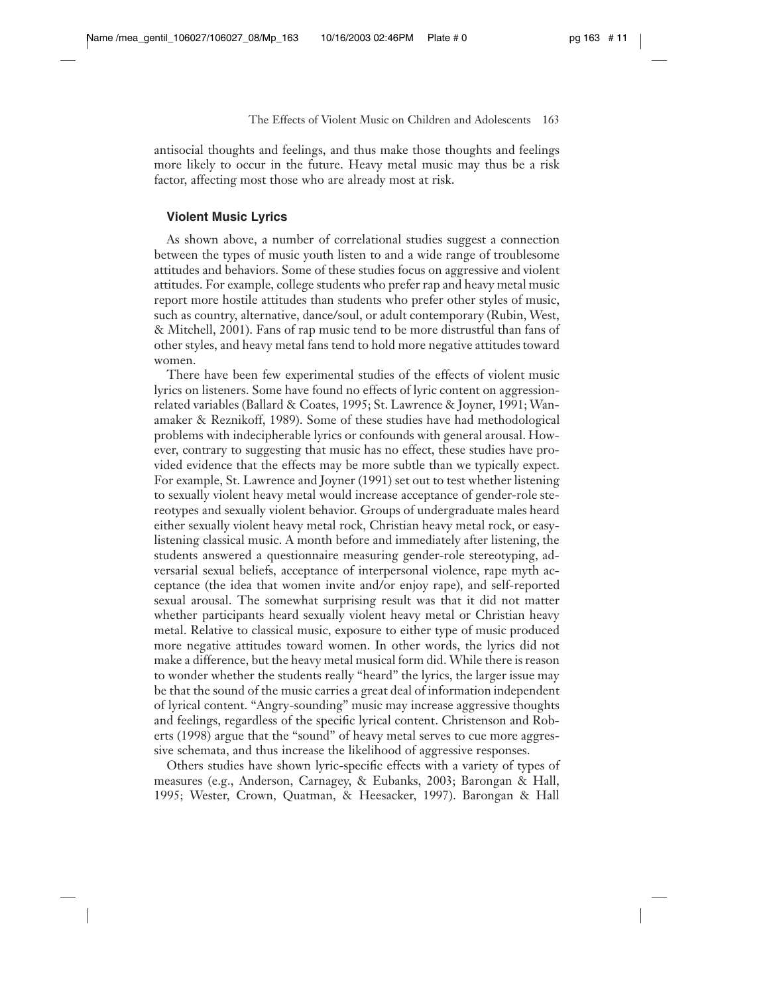antisocial thoughts and feelings, and thus make those thoughts and feelings more likely to occur in the future. Heavy metal music may thus be a risk factor, affecting most those who are already most at risk.

#### **Violent Music Lyrics**

As shown above, a number of correlational studies suggest a connection between the types of music youth listen to and a wide range of troublesome attitudes and behaviors. Some of these studies focus on aggressive and violent attitudes. For example, college students who prefer rap and heavy metal music report more hostile attitudes than students who prefer other styles of music, such as country, alternative, dance/soul, or adult contemporary (Rubin, West, & Mitchell, 2001). Fans of rap music tend to be more distrustful than fans of other styles, and heavy metal fans tend to hold more negative attitudes toward women.

There have been few experimental studies of the effects of violent music lyrics on listeners. Some have found no effects of lyric content on aggressionrelated variables (Ballard & Coates, 1995; St. Lawrence & Joyner, 1991; Wanamaker & Reznikoff, 1989). Some of these studies have had methodological problems with indecipherable lyrics or confounds with general arousal. However, contrary to suggesting that music has no effect, these studies have provided evidence that the effects may be more subtle than we typically expect. For example, St. Lawrence and Joyner (1991) set out to test whether listening to sexually violent heavy metal would increase acceptance of gender-role stereotypes and sexually violent behavior. Groups of undergraduate males heard either sexually violent heavy metal rock, Christian heavy metal rock, or easylistening classical music. A month before and immediately after listening, the students answered a questionnaire measuring gender-role stereotyping, adversarial sexual beliefs, acceptance of interpersonal violence, rape myth acceptance (the idea that women invite and/or enjoy rape), and self-reported sexual arousal. The somewhat surprising result was that it did not matter whether participants heard sexually violent heavy metal or Christian heavy metal. Relative to classical music, exposure to either type of music produced more negative attitudes toward women. In other words, the lyrics did not make a difference, but the heavy metal musical form did. While there is reason to wonder whether the students really "heard" the lyrics, the larger issue may be that the sound of the music carries a great deal of information independent of lyrical content. "Angry-sounding" music may increase aggressive thoughts and feelings, regardless of the specific lyrical content. Christenson and Roberts (1998) argue that the "sound" of heavy metal serves to cue more aggressive schemata, and thus increase the likelihood of aggressive responses.

Others studies have shown lyric-specific effects with a variety of types of measures (e.g., Anderson, Carnagey, & Eubanks, 2003; Barongan & Hall, 1995; Wester, Crown, Quatman, & Heesacker, 1997). Barongan & Hall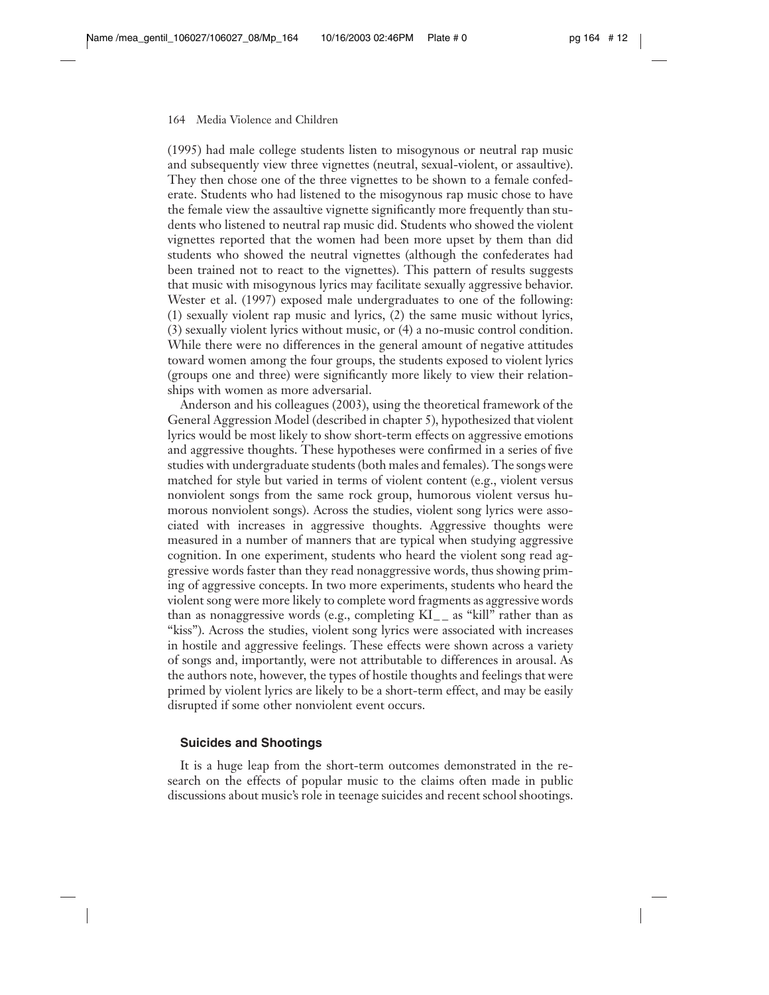(1995) had male college students listen to misogynous or neutral rap music and subsequently view three vignettes (neutral, sexual-violent, or assaultive). They then chose one of the three vignettes to be shown to a female confederate. Students who had listened to the misogynous rap music chose to have the female view the assaultive vignette significantly more frequently than students who listened to neutral rap music did. Students who showed the violent vignettes reported that the women had been more upset by them than did students who showed the neutral vignettes (although the confederates had been trained not to react to the vignettes). This pattern of results suggests that music with misogynous lyrics may facilitate sexually aggressive behavior. Wester et al. (1997) exposed male undergraduates to one of the following: (1) sexually violent rap music and lyrics, (2) the same music without lyrics, (3) sexually violent lyrics without music, or (4) a no-music control condition. While there were no differences in the general amount of negative attitudes toward women among the four groups, the students exposed to violent lyrics (groups one and three) were significantly more likely to view their relationships with women as more adversarial.

Anderson and his colleagues (2003), using the theoretical framework of the General Aggression Model (described in chapter 5), hypothesized that violent lyrics would be most likely to show short-term effects on aggressive emotions and aggressive thoughts. These hypotheses were confirmed in a series of five studies with undergraduate students (both males and females). The songs were matched for style but varied in terms of violent content (e.g., violent versus nonviolent songs from the same rock group, humorous violent versus humorous nonviolent songs). Across the studies, violent song lyrics were associated with increases in aggressive thoughts. Aggressive thoughts were measured in a number of manners that are typical when studying aggressive cognition. In one experiment, students who heard the violent song read aggressive words faster than they read nonaggressive words, thus showing priming of aggressive concepts. In two more experiments, students who heard the violent song were more likely to complete word fragments as aggressive words than as nonaggressive words (e.g., completing  $KI$  as "kill" rather than as "kiss"). Across the studies, violent song lyrics were associated with increases in hostile and aggressive feelings. These effects were shown across a variety of songs and, importantly, were not attributable to differences in arousal. As the authors note, however, the types of hostile thoughts and feelings that were primed by violent lyrics are likely to be a short-term effect, and may be easily disrupted if some other nonviolent event occurs.

#### **Suicides and Shootings**

It is a huge leap from the short-term outcomes demonstrated in the research on the effects of popular music to the claims often made in public discussions about music's role in teenage suicides and recent school shootings.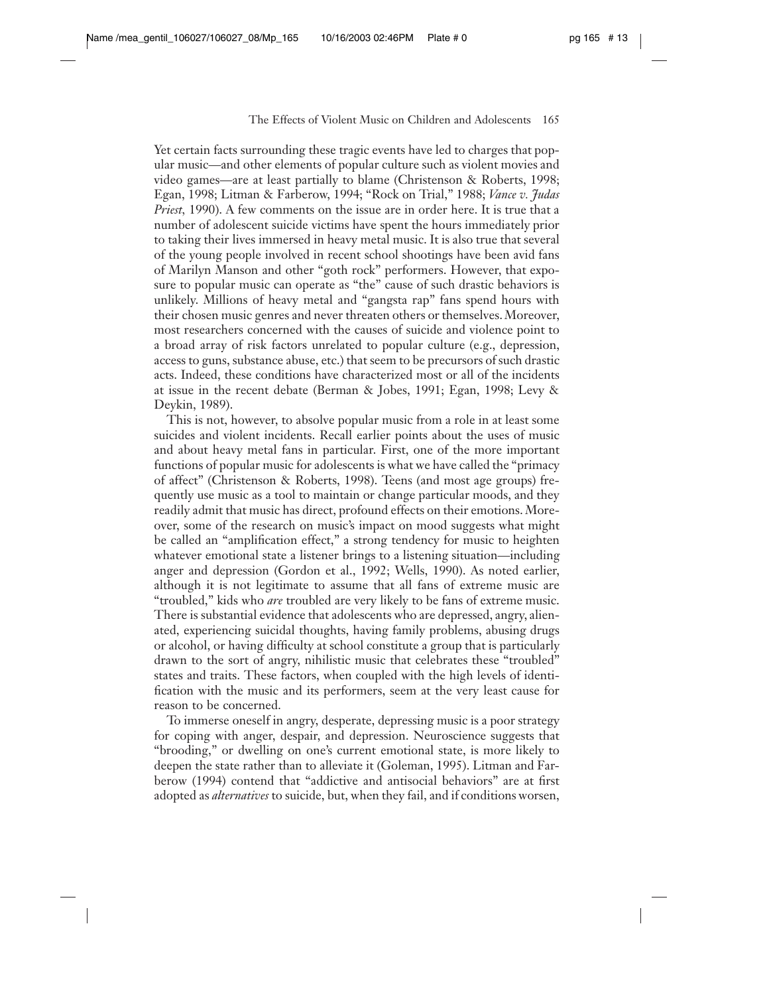Yet certain facts surrounding these tragic events have led to charges that popular music—and other elements of popular culture such as violent movies and video games—are at least partially to blame (Christenson & Roberts, 1998; Egan, 1998; Litman & Farberow, 1994; "Rock on Trial," 1988; *Vance v. Judas Priest,* 1990). A few comments on the issue are in order here. It is true that a number of adolescent suicide victims have spent the hours immediately prior to taking their lives immersed in heavy metal music. It is also true that several of the young people involved in recent school shootings have been avid fans of Marilyn Manson and other "goth rock" performers. However, that exposure to popular music can operate as "the" cause of such drastic behaviors is unlikely. Millions of heavy metal and "gangsta rap" fans spend hours with their chosen music genres and never threaten others or themselves.Moreover, most researchers concerned with the causes of suicide and violence point to a broad array of risk factors unrelated to popular culture (e.g., depression, access to guns, substance abuse, etc.) that seem to be precursors of such drastic acts. Indeed, these conditions have characterized most or all of the incidents at issue in the recent debate (Berman & Jobes, 1991; Egan, 1998; Levy & Deykin, 1989).

This is not, however, to absolve popular music from a role in at least some suicides and violent incidents. Recall earlier points about the uses of music and about heavy metal fans in particular. First, one of the more important functions of popular music for adolescents is what we have called the "primacy of affect" (Christenson & Roberts, 1998). Teens (and most age groups) frequently use music as a tool to maintain or change particular moods, and they readily admit that music has direct, profound effects on their emotions. Moreover, some of the research on music's impact on mood suggests what might be called an "amplification effect," a strong tendency for music to heighten whatever emotional state a listener brings to a listening situation—including anger and depression (Gordon et al., 1992; Wells, 1990). As noted earlier, although it is not legitimate to assume that all fans of extreme music are "troubled," kids who *are* troubled are very likely to be fans of extreme music. There is substantial evidence that adolescents who are depressed, angry, alienated, experiencing suicidal thoughts, having family problems, abusing drugs or alcohol, or having difficulty at school constitute a group that is particularly drawn to the sort of angry, nihilistic music that celebrates these "troubled" states and traits. These factors, when coupled with the high levels of identification with the music and its performers, seem at the very least cause for reason to be concerned.

To immerse oneself in angry, desperate, depressing music is a poor strategy for coping with anger, despair, and depression. Neuroscience suggests that "brooding," or dwelling on one's current emotional state, is more likely to deepen the state rather than to alleviate it (Goleman, 1995). Litman and Farberow (1994) contend that "addictive and antisocial behaviors" are at first adopted as *alternatives* to suicide, but, when they fail, and if conditions worsen,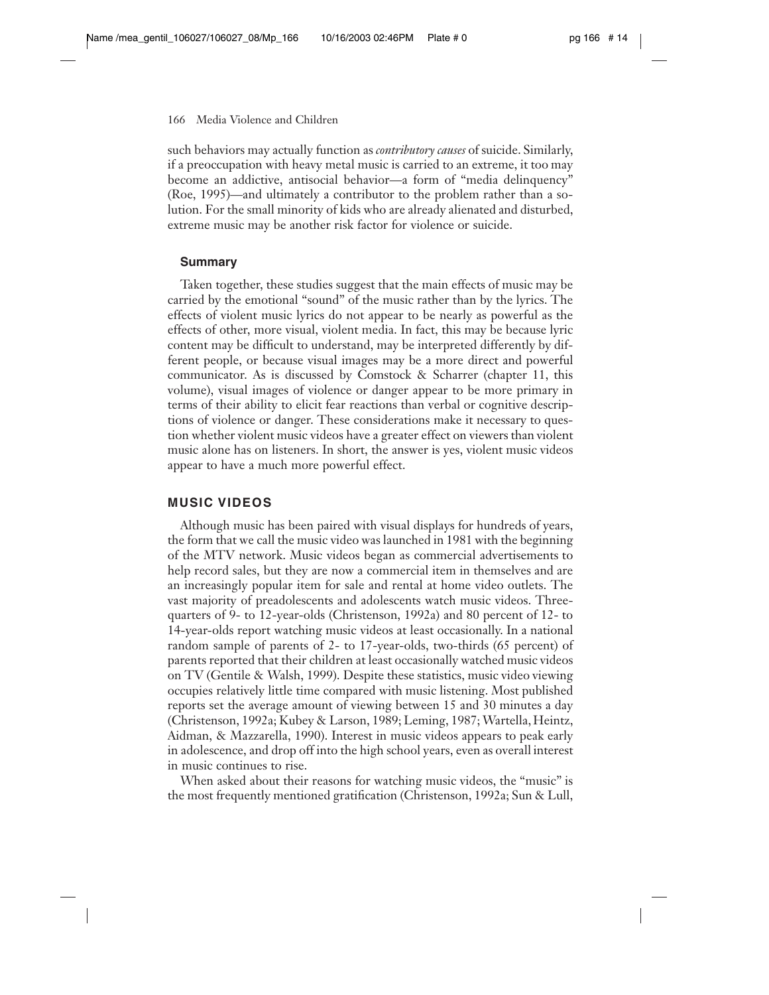such behaviors may actually function as *contributory causes* of suicide. Similarly, if a preoccupation with heavy metal music is carried to an extreme, it too may become an addictive, antisocial behavior—a form of "media delinquency" (Roe, 1995)—and ultimately a contributor to the problem rather than a solution. For the small minority of kids who are already alienated and disturbed, extreme music may be another risk factor for violence or suicide.

#### **Summary**

Taken together, these studies suggest that the main effects of music may be carried by the emotional "sound" of the music rather than by the lyrics. The effects of violent music lyrics do not appear to be nearly as powerful as the effects of other, more visual, violent media. In fact, this may be because lyric content may be difficult to understand, may be interpreted differently by different people, or because visual images may be a more direct and powerful communicator. As is discussed by Comstock & Scharrer (chapter 11, this volume), visual images of violence or danger appear to be more primary in terms of their ability to elicit fear reactions than verbal or cognitive descriptions of violence or danger. These considerations make it necessary to question whether violent music videos have a greater effect on viewers than violent music alone has on listeners. In short, the answer is yes, violent music videos appear to have a much more powerful effect.

# **MUSIC VIDEOS**

Although music has been paired with visual displays for hundreds of years, the form that we call the music video was launched in 1981 with the beginning of the MTV network. Music videos began as commercial advertisements to help record sales, but they are now a commercial item in themselves and are an increasingly popular item for sale and rental at home video outlets. The vast majority of preadolescents and adolescents watch music videos. Threequarters of 9- to 12-year-olds (Christenson, 1992a) and 80 percent of 12- to 14-year-olds report watching music videos at least occasionally. In a national random sample of parents of 2- to 17-year-olds, two-thirds (65 percent) of parents reported that their children at least occasionally watched music videos on TV (Gentile & Walsh, 1999). Despite these statistics, music video viewing occupies relatively little time compared with music listening. Most published reports set the average amount of viewing between 15 and 30 minutes a day (Christenson, 1992a; Kubey & Larson, 1989; Leming, 1987;Wartella, Heintz, Aidman, & Mazzarella, 1990). Interest in music videos appears to peak early in adolescence, and drop off into the high school years, even as overall interest in music continues to rise.

When asked about their reasons for watching music videos, the "music" is the most frequently mentioned gratification (Christenson, 1992a; Sun & Lull,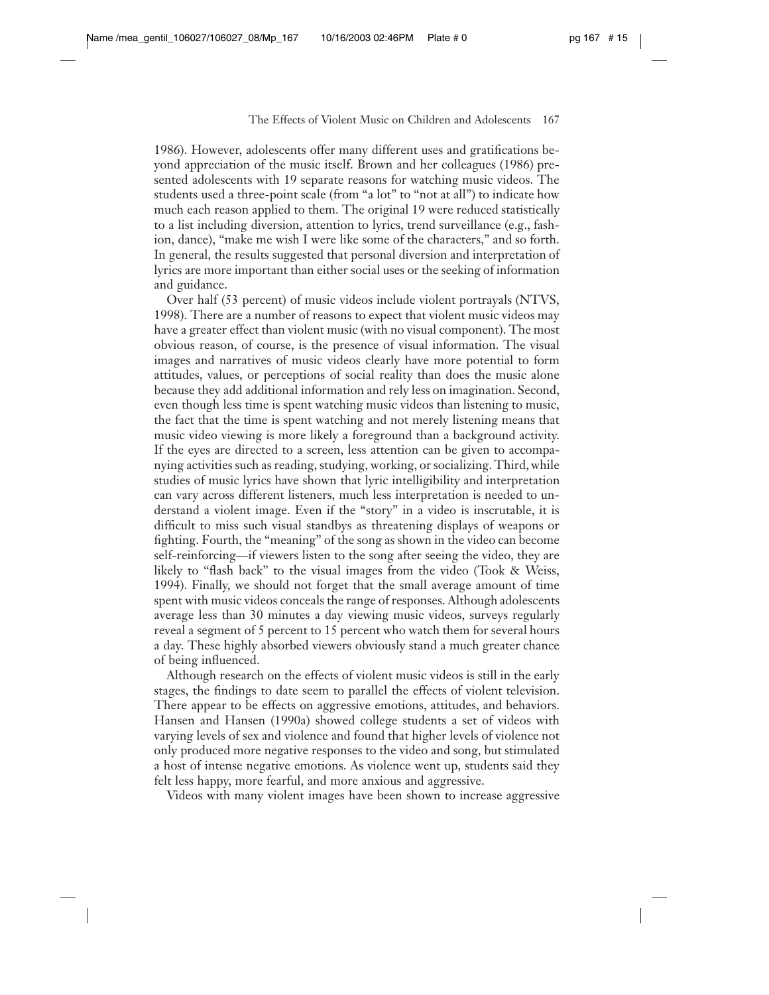1986). However, adolescents offer many different uses and gratifications beyond appreciation of the music itself. Brown and her colleagues (1986) presented adolescents with 19 separate reasons for watching music videos. The students used a three-point scale (from "a lot" to "not at all") to indicate how much each reason applied to them. The original 19 were reduced statistically to a list including diversion, attention to lyrics, trend surveillance (e.g., fashion, dance), "make me wish I were like some of the characters," and so forth. In general, the results suggested that personal diversion and interpretation of lyrics are more important than either social uses or the seeking of information and guidance.

Over half (53 percent) of music videos include violent portrayals (NTVS, 1998). There are a number of reasons to expect that violent music videos may have a greater effect than violent music (with no visual component). The most obvious reason, of course, is the presence of visual information. The visual images and narratives of music videos clearly have more potential to form attitudes, values, or perceptions of social reality than does the music alone because they add additional information and rely less on imagination. Second, even though less time is spent watching music videos than listening to music, the fact that the time is spent watching and not merely listening means that music video viewing is more likely a foreground than a background activity. If the eyes are directed to a screen, less attention can be given to accompanying activities such as reading, studying, working, or socializing. Third, while studies of music lyrics have shown that lyric intelligibility and interpretation can vary across different listeners, much less interpretation is needed to understand a violent image. Even if the "story" in a video is inscrutable, it is difficult to miss such visual standbys as threatening displays of weapons or fighting. Fourth, the "meaning" of the song as shown in the video can become self-reinforcing—if viewers listen to the song after seeing the video, they are likely to "flash back" to the visual images from the video (Took & Weiss, 1994). Finally, we should not forget that the small average amount of time spent with music videos conceals the range of responses. Although adolescents average less than 30 minutes a day viewing music videos, surveys regularly reveal a segment of 5 percent to 15 percent who watch them for several hours a day. These highly absorbed viewers obviously stand a much greater chance of being influenced.

Although research on the effects of violent music videos is still in the early stages, the findings to date seem to parallel the effects of violent television. There appear to be effects on aggressive emotions, attitudes, and behaviors. Hansen and Hansen (1990a) showed college students a set of videos with varying levels of sex and violence and found that higher levels of violence not only produced more negative responses to the video and song, but stimulated a host of intense negative emotions. As violence went up, students said they felt less happy, more fearful, and more anxious and aggressive.

Videos with many violent images have been shown to increase aggressive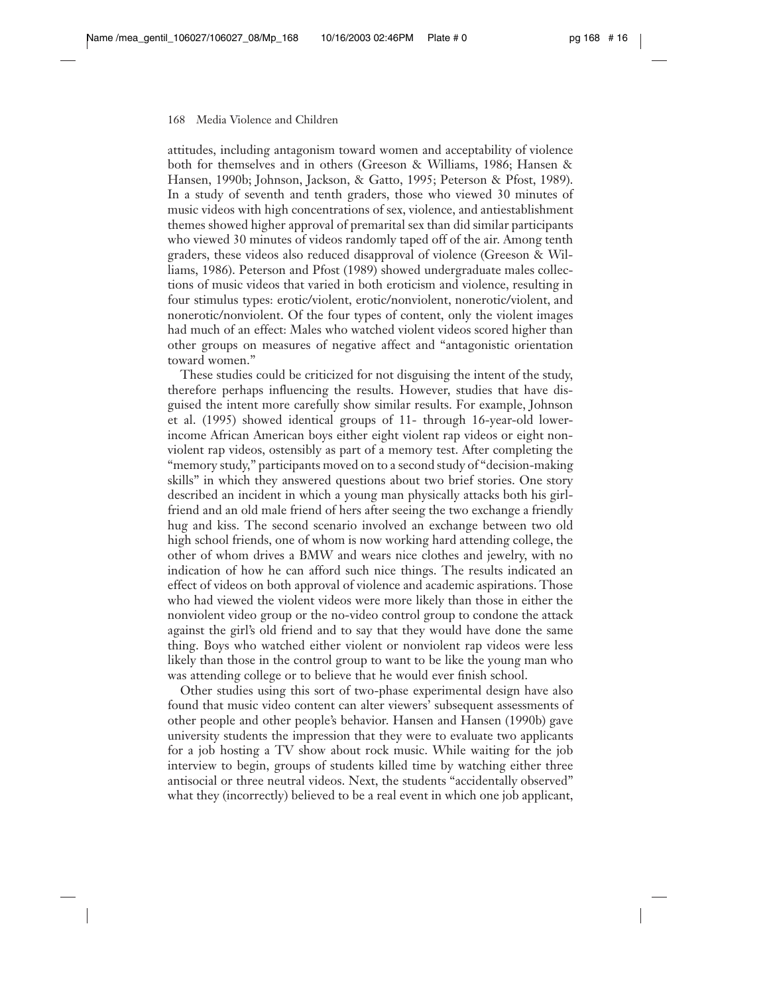attitudes, including antagonism toward women and acceptability of violence both for themselves and in others (Greeson & Williams, 1986; Hansen & Hansen, 1990b; Johnson, Jackson, & Gatto, 1995; Peterson & Pfost, 1989). In a study of seventh and tenth graders, those who viewed 30 minutes of music videos with high concentrations of sex, violence, and antiestablishment themes showed higher approval of premarital sex than did similar participants who viewed 30 minutes of videos randomly taped off of the air. Among tenth graders, these videos also reduced disapproval of violence (Greeson & Williams, 1986). Peterson and Pfost (1989) showed undergraduate males collections of music videos that varied in both eroticism and violence, resulting in four stimulus types: erotic/violent, erotic/nonviolent, nonerotic/violent, and nonerotic/nonviolent. Of the four types of content, only the violent images had much of an effect: Males who watched violent videos scored higher than other groups on measures of negative affect and "antagonistic orientation toward women."

These studies could be criticized for not disguising the intent of the study, therefore perhaps influencing the results. However, studies that have disguised the intent more carefully show similar results. For example, Johnson et al. (1995) showed identical groups of 11- through 16-year-old lowerincome African American boys either eight violent rap videos or eight nonviolent rap videos, ostensibly as part of a memory test. After completing the "memory study," participants moved on to a second study of "decision-making skills" in which they answered questions about two brief stories. One story described an incident in which a young man physically attacks both his girlfriend and an old male friend of hers after seeing the two exchange a friendly hug and kiss. The second scenario involved an exchange between two old high school friends, one of whom is now working hard attending college, the other of whom drives a BMW and wears nice clothes and jewelry, with no indication of how he can afford such nice things. The results indicated an effect of videos on both approval of violence and academic aspirations. Those who had viewed the violent videos were more likely than those in either the nonviolent video group or the no-video control group to condone the attack against the girl's old friend and to say that they would have done the same thing. Boys who watched either violent or nonviolent rap videos were less likely than those in the control group to want to be like the young man who was attending college or to believe that he would ever finish school.

Other studies using this sort of two-phase experimental design have also found that music video content can alter viewers' subsequent assessments of other people and other people's behavior. Hansen and Hansen (1990b) gave university students the impression that they were to evaluate two applicants for a job hosting a TV show about rock music. While waiting for the job interview to begin, groups of students killed time by watching either three antisocial or three neutral videos. Next, the students "accidentally observed" what they (incorrectly) believed to be a real event in which one job applicant,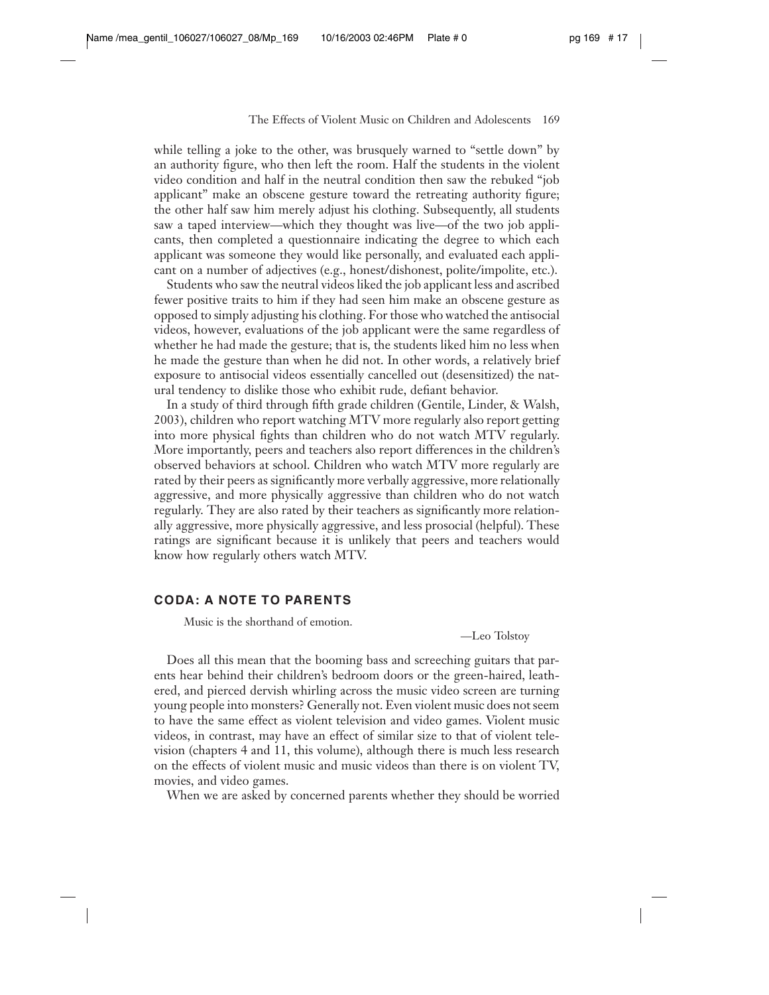while telling a joke to the other, was brusquely warned to "settle down" by an authority figure, who then left the room. Half the students in the violent video condition and half in the neutral condition then saw the rebuked "job applicant" make an obscene gesture toward the retreating authority figure; the other half saw him merely adjust his clothing. Subsequently, all students saw a taped interview—which they thought was live—of the two job applicants, then completed a questionnaire indicating the degree to which each applicant was someone they would like personally, and evaluated each applicant on a number of adjectives (e.g., honest/dishonest, polite/impolite, etc.).

Students who saw the neutral videos liked the job applicant less and ascribed fewer positive traits to him if they had seen him make an obscene gesture as opposed to simply adjusting his clothing. For those who watched the antisocial videos, however, evaluations of the job applicant were the same regardless of whether he had made the gesture; that is, the students liked him no less when he made the gesture than when he did not. In other words, a relatively brief exposure to antisocial videos essentially cancelled out (desensitized) the natural tendency to dislike those who exhibit rude, defiant behavior.

In a study of third through fifth grade children (Gentile, Linder, & Walsh, 2003), children who report watching MTV more regularly also report getting into more physical fights than children who do not watch MTV regularly. More importantly, peers and teachers also report differences in the children's observed behaviors at school. Children who watch MTV more regularly are rated by their peers as significantly more verbally aggressive, more relationally aggressive, and more physically aggressive than children who do not watch regularly. They are also rated by their teachers as significantly more relationally aggressive, more physically aggressive, and less prosocial (helpful). These ratings are significant because it is unlikely that peers and teachers would know how regularly others watch MTV.

# **CODA: A NOTE TO PARENTS**

Music is the shorthand of emotion.

—Leo Tolstoy

Does all this mean that the booming bass and screeching guitars that parents hear behind their children's bedroom doors or the green-haired, leathered, and pierced dervish whirling across the music video screen are turning young people into monsters? Generally not. Even violent music does not seem to have the same effect as violent television and video games. Violent music videos, in contrast, may have an effect of similar size to that of violent television (chapters 4 and 11, this volume), although there is much less research on the effects of violent music and music videos than there is on violent TV, movies, and video games.

When we are asked by concerned parents whether they should be worried